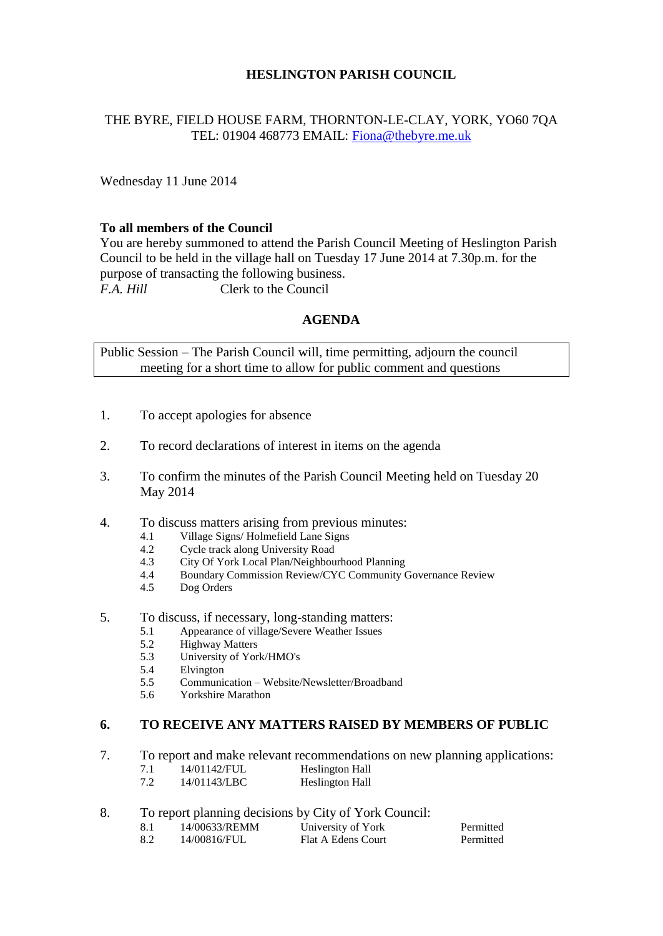## **HESLINGTON PARISH COUNCIL**

# THE BYRE, FIELD HOUSE FARM, THORNTON-LE-CLAY, YORK, YO60 7QA TEL: 01904 468773 EMAIL: [Fiona@thebyre.me.uk](mailto:Fiona@thebyre.me.uk)

Wednesday 11 June 2014

## **To all members of the Council**

You are hereby summoned to attend the Parish Council Meeting of Heslington Parish Council to be held in the village hall on Tuesday 17 June 2014 at 7.30p.m. for the purpose of transacting the following business. *F.A. Hill* Clerk to the Council

#### **AGENDA**

Public Session – The Parish Council will, time permitting, adjourn the council meeting for a short time to allow for public comment and questions

- 1. To accept apologies for absence
- 2. To record declarations of interest in items on the agenda
- 3. To confirm the minutes of the Parish Council Meeting held on Tuesday 20 May 2014
- 4. To discuss matters arising from previous minutes:
	- 4.1 Village Signs/ Holmefield Lane Signs
	- 4.2 Cycle track along University Road
	- 4.3 City Of York Local Plan/Neighbourhood Planning
	- 4.4 Boundary Commission Review/CYC Community Governance Review
	- 4.5 Dog Orders
- 5. To discuss, if necessary, long-standing matters:
	- 5.1 Appearance of village/Severe Weather Issues
	- 5.2 Highway Matters
	- 5.3 University of York/HMO's
	- 5.4 Elvington
	- 5.5 Communication Website/Newsletter/Broadband
	- 5.6 Yorkshire Marathon

#### **6. TO RECEIVE ANY MATTERS RAISED BY MEMBERS OF PUBLIC**

- 7. To report and make relevant recommendations on new planning applications:
	- 7.1 14/01142/FUL Heslington Hall
	- 7.2 14/01143/LBC Heslington Hall
- 8. To report planning decisions by City of York Council:

| 8.1 | 14/00633/REMM | University of York | Permitted |
|-----|---------------|--------------------|-----------|
| 8.2 | 14/00816/FUL  | Flat A Edens Court | Permitted |